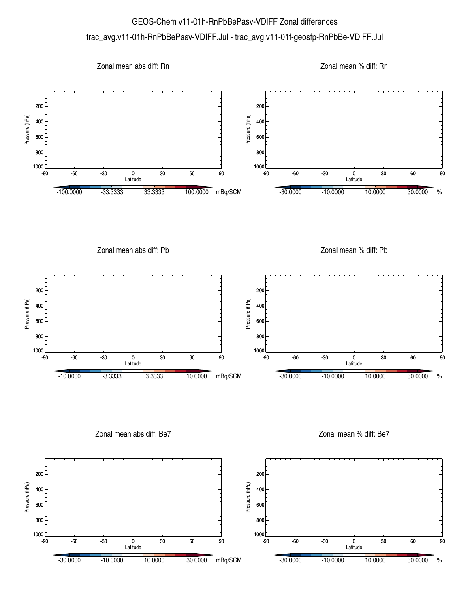## GEOS-Chem v11-01h-RnPbBePasv-VDIFF Zonal differences trac\_avg.v11-01h-RnPbBePasv-VDIFF.Jul - trac\_avg.v11-01f-geosfp-RnPbBe-VDIFF.Jul